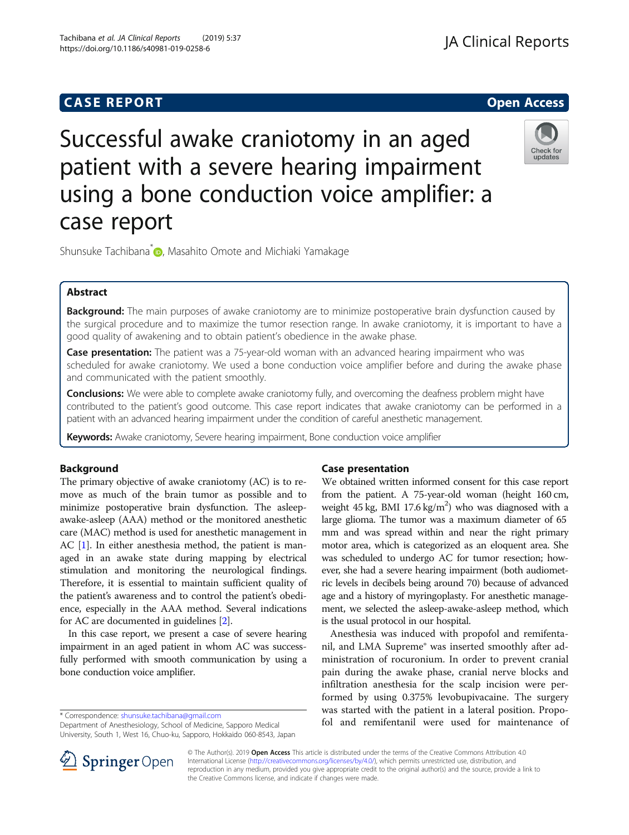# **CASE REPORT CASE REPORT CASE REPORT**

# Check for updates

patient with a severe hearing impairment using a bone conduction voice amplifier: a case report

Successful awake craniotomy in an aged

Shunsuke Tachibana<sup>[\\*](http://orcid.org/0000-0001-7452-4358)</sup> **D**, Masahito Omote and Michiaki Yamakage

# Abstract

Background: The main purposes of awake craniotomy are to minimize postoperative brain dysfunction caused by the surgical procedure and to maximize the tumor resection range. In awake craniotomy, it is important to have a good quality of awakening and to obtain patient's obedience in the awake phase.

**Case presentation:** The patient was a 75-year-old woman with an advanced hearing impairment who was scheduled for awake craniotomy. We used a bone conduction voice amplifier before and during the awake phase and communicated with the patient smoothly.

**Conclusions:** We were able to complete awake craniotomy fully, and overcoming the deafness problem might have contributed to the patient's good outcome. This case report indicates that awake craniotomy can be performed in a patient with an advanced hearing impairment under the condition of careful anesthetic management.

Keywords: Awake craniotomy, Severe hearing impairment, Bone conduction voice amplifier

# Background

The primary objective of awake craniotomy (AC) is to remove as much of the brain tumor as possible and to minimize postoperative brain dysfunction. The asleepawake-asleep (AAA) method or the monitored anesthetic care (MAC) method is used for anesthetic management in AC [\[1\]](#page-2-0). In either anesthesia method, the patient is managed in an awake state during mapping by electrical stimulation and monitoring the neurological findings. Therefore, it is essential to maintain sufficient quality of the patient's awareness and to control the patient's obedience, especially in the AAA method. Several indications for AC are documented in guidelines [\[2](#page-2-0)].

In this case report, we present a case of severe hearing impairment in an aged patient in whom AC was successfully performed with smooth communication by using a bone conduction voice amplifier.

\* Correspondence: [shunsuke.tachibana@gmail.com](mailto:shunsuke.tachibana@gmail.com)

Department of Anesthesiology, School of Medicine, Sapporo Medical University, South 1, West 16, Chuo-ku, Sapporo, Hokkaido 060-8543, Japan

## Case presentation

We obtained written informed consent for this case report from the patient. A 75-year-old woman (height 160 cm, weight  $45 \text{ kg}$ , BMI 17.6 kg/m<sup>2</sup>) who was diagnosed with a large glioma. The tumor was a maximum diameter of 65 mm and was spread within and near the right primary motor area, which is categorized as an eloquent area. She was scheduled to undergo AC for tumor resection; however, she had a severe hearing impairment (both audiometric levels in decibels being around 70) because of advanced age and a history of myringoplasty. For anesthetic management, we selected the asleep-awake-asleep method, which is the usual protocol in our hospital.

Anesthesia was induced with propofol and remifentanil, and LMA Supreme® was inserted smoothly after administration of rocuronium. In order to prevent cranial pain during the awake phase, cranial nerve blocks and infiltration anesthesia for the scalp incision were performed by using 0.375% levobupivacaine. The surgery was started with the patient in a lateral position. Propofol and remifentanil were used for maintenance of



© The Author(s). 2019 Open Access This article is distributed under the terms of the Creative Commons Attribution 4.0 International License ([http://creativecommons.org/licenses/by/4.0/\)](http://creativecommons.org/licenses/by/4.0/), which permits unrestricted use, distribution, and reproduction in any medium, provided you give appropriate credit to the original author(s) and the source, provide a link to the Creative Commons license, and indicate if changes were made.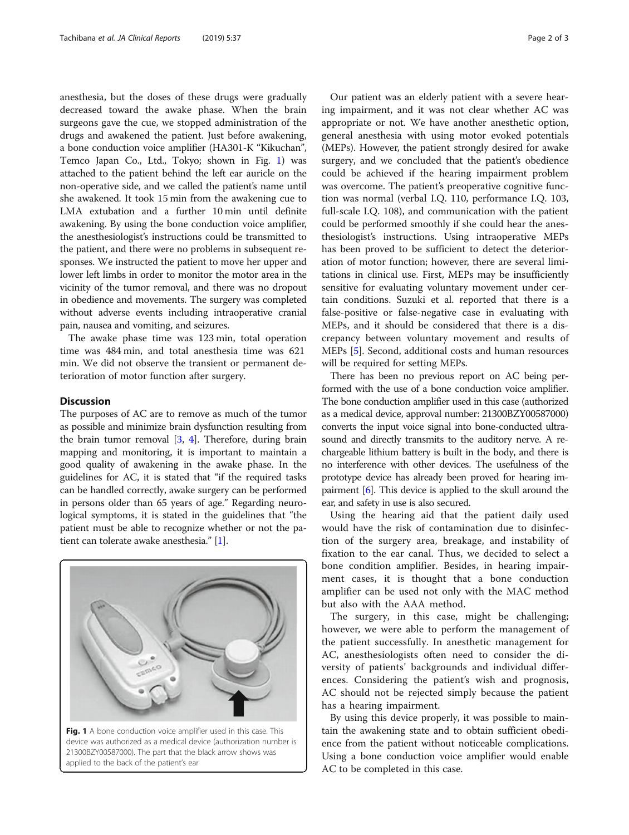anesthesia, but the doses of these drugs were gradually decreased toward the awake phase. When the brain surgeons gave the cue, we stopped administration of the drugs and awakened the patient. Just before awakening, a bone conduction voice amplifier (HA301-K "Kikuchan", Temco Japan Co., Ltd., Tokyo; shown in Fig. 1) was attached to the patient behind the left ear auricle on the non-operative side, and we called the patient's name until she awakened. It took 15 min from the awakening cue to LMA extubation and a further 10 min until definite awakening. By using the bone conduction voice amplifier, the anesthesiologist's instructions could be transmitted to the patient, and there were no problems in subsequent responses. We instructed the patient to move her upper and lower left limbs in order to monitor the motor area in the vicinity of the tumor removal, and there was no dropout in obedience and movements. The surgery was completed without adverse events including intraoperative cranial pain, nausea and vomiting, and seizures.

The awake phase time was 123 min, total operation time was 484 min, and total anesthesia time was 621 min. We did not observe the transient or permanent deterioration of motor function after surgery.

#### **Discussion**

The purposes of AC are to remove as much of the tumor as possible and minimize brain dysfunction resulting from the brain tumor removal [[3](#page-2-0), [4\]](#page-2-0). Therefore, during brain mapping and monitoring, it is important to maintain a good quality of awakening in the awake phase. In the guidelines for AC, it is stated that "if the required tasks can be handled correctly, awake surgery can be performed in persons older than 65 years of age." Regarding neurological symptoms, it is stated in the guidelines that "the patient must be able to recognize whether or not the patient can tolerate awake anesthesia." [\[1\]](#page-2-0).



device was authorized as a medical device (authorization number is 21300BZY00587000). The part that the black arrow shows was applied to the back of the patient's ear

Our patient was an elderly patient with a severe hearing impairment, and it was not clear whether AC was appropriate or not. We have another anesthetic option, general anesthesia with using motor evoked potentials (MEPs). However, the patient strongly desired for awake surgery, and we concluded that the patient's obedience could be achieved if the hearing impairment problem was overcome. The patient's preoperative cognitive function was normal (verbal I.Q. 110, performance I.Q. 103, full-scale I.Q. 108), and communication with the patient could be performed smoothly if she could hear the anesthesiologist's instructions. Using intraoperative MEPs has been proved to be sufficient to detect the deterioration of motor function; however, there are several limitations in clinical use. First, MEPs may be insufficiently sensitive for evaluating voluntary movement under certain conditions. Suzuki et al. reported that there is a false-positive or false-negative case in evaluating with MEPs, and it should be considered that there is a discrepancy between voluntary movement and results of MEPs [[5\]](#page-2-0). Second, additional costs and human resources will be required for setting MEPs.

There has been no previous report on AC being performed with the use of a bone conduction voice amplifier. The bone conduction amplifier used in this case (authorized as a medical device, approval number: 21300BZY00587000) converts the input voice signal into bone-conducted ultrasound and directly transmits to the auditory nerve. A rechargeable lithium battery is built in the body, and there is no interference with other devices. The usefulness of the prototype device has already been proved for hearing impairment [\[6\]](#page-2-0). This device is applied to the skull around the ear, and safety in use is also secured.

Using the hearing aid that the patient daily used would have the risk of contamination due to disinfection of the surgery area, breakage, and instability of fixation to the ear canal. Thus, we decided to select a bone condition amplifier. Besides, in hearing impairment cases, it is thought that a bone conduction amplifier can be used not only with the MAC method but also with the AAA method.

The surgery, in this case, might be challenging; however, we were able to perform the management of the patient successfully. In anesthetic management for AC, anesthesiologists often need to consider the diversity of patients' backgrounds and individual differences. Considering the patient's wish and prognosis, AC should not be rejected simply because the patient has a hearing impairment.

By using this device properly, it was possible to maintain the awakening state and to obtain sufficient obedience from the patient without noticeable complications. Using a bone conduction voice amplifier would enable AC to be completed in this case.